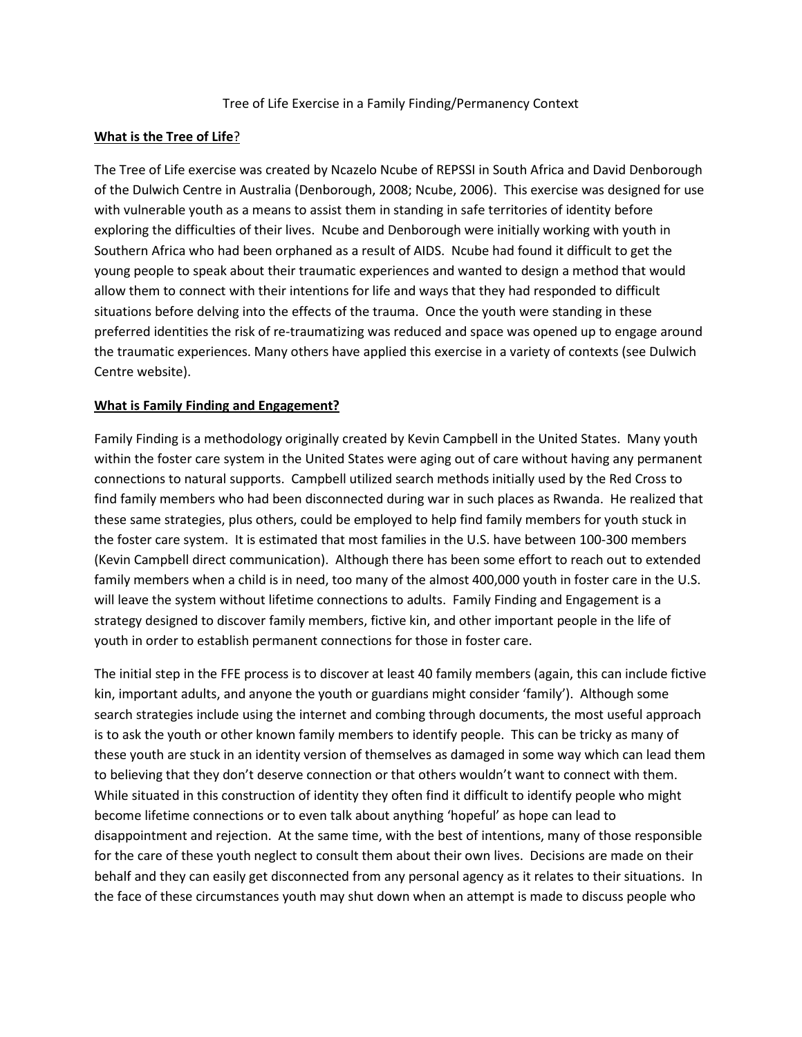Tree of Life Exercise in a Family Finding/Permanency Context

## **What is the Tree of Life**?

The Tree of Life exercise was created by Ncazelo Ncube of REPSSI in South Africa and David Denborough of the Dulwich Centre in Australia (Denborough, 2008; Ncube, 2006). This exercise was designed for use with vulnerable youth as a means to assist them in standing in safe territories of identity before exploring the difficulties of their lives. Ncube and Denborough were initially working with youth in Southern Africa who had been orphaned as a result of AIDS. Ncube had found it difficult to get the young people to speak about their traumatic experiences and wanted to design a method that would allow them to connect with their intentions for life and ways that they had responded to difficult situations before delving into the effects of the trauma. Once the youth were standing in these preferred identities the risk of re-traumatizing was reduced and space was opened up to engage around the traumatic experiences. Many others have applied this exercise in a variety of contexts (see Dulwich Centre website).

## **What is Family Finding and Engagement?**

Family Finding is a methodology originally created by Kevin Campbell in the United States. Many youth within the foster care system in the United States were aging out of care without having any permanent connections to natural supports. Campbell utilized search methods initially used by the Red Cross to find family members who had been disconnected during war in such places as Rwanda. He realized that these same strategies, plus others, could be employed to help find family members for youth stuck in the foster care system. It is estimated that most families in the U.S. have between 100-300 members (Kevin Campbell direct communication). Although there has been some effort to reach out to extended family members when a child is in need, too many of the almost 400,000 youth in foster care in the U.S. will leave the system without lifetime connections to adults. Family Finding and Engagement is a strategy designed to discover family members, fictive kin, and other important people in the life of youth in order to establish permanent connections for those in foster care.

The initial step in the FFE process is to discover at least 40 family members (again, this can include fictive kin, important adults, and anyone the youth or guardians might consider 'family'). Although some search strategies include using the internet and combing through documents, the most useful approach is to ask the youth or other known family members to identify people. This can be tricky as many of these youth are stuck in an identity version of themselves as damaged in some way which can lead them to believing that they don't deserve connection or that others wouldn't want to connect with them. While situated in this construction of identity they often find it difficult to identify people who might become lifetime connections or to even talk about anything 'hopeful' as hope can lead to disappointment and rejection. At the same time, with the best of intentions, many of those responsible for the care of these youth neglect to consult them about their own lives. Decisions are made on their behalf and they can easily get disconnected from any personal agency as it relates to their situations. In the face of these circumstances youth may shut down when an attempt is made to discuss people who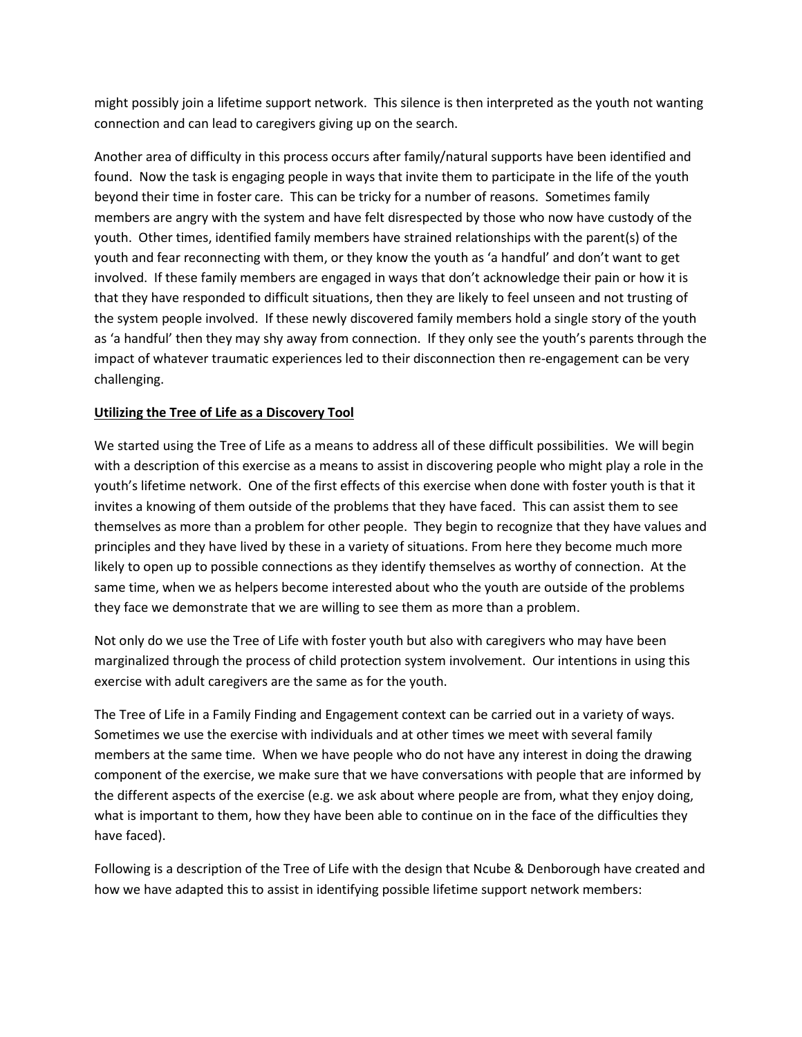might possibly join a lifetime support network. This silence is then interpreted as the youth not wanting connection and can lead to caregivers giving up on the search.

Another area of difficulty in this process occurs after family/natural supports have been identified and found. Now the task is engaging people in ways that invite them to participate in the life of the youth beyond their time in foster care. This can be tricky for a number of reasons. Sometimes family members are angry with the system and have felt disrespected by those who now have custody of the youth. Other times, identified family members have strained relationships with the parent(s) of the youth and fear reconnecting with them, or they know the youth as 'a handful' and don't want to get involved. If these family members are engaged in ways that don't acknowledge their pain or how it is that they have responded to difficult situations, then they are likely to feel unseen and not trusting of the system people involved. If these newly discovered family members hold a single story of the youth as 'a handful' then they may shy away from connection. If they only see the youth's parents through the impact of whatever traumatic experiences led to their disconnection then re-engagement can be very challenging.

# **Utilizing the Tree of Life as a Discovery Tool**

We started using the Tree of Life as a means to address all of these difficult possibilities. We will begin with a description of this exercise as a means to assist in discovering people who might play a role in the youth's lifetime network. One of the first effects of this exercise when done with foster youth is that it invites a knowing of them outside of the problems that they have faced. This can assist them to see themselves as more than a problem for other people. They begin to recognize that they have values and principles and they have lived by these in a variety of situations. From here they become much more likely to open up to possible connections as they identify themselves as worthy of connection. At the same time, when we as helpers become interested about who the youth are outside of the problems they face we demonstrate that we are willing to see them as more than a problem.

Not only do we use the Tree of Life with foster youth but also with caregivers who may have been marginalized through the process of child protection system involvement. Our intentions in using this exercise with adult caregivers are the same as for the youth.

The Tree of Life in a Family Finding and Engagement context can be carried out in a variety of ways. Sometimes we use the exercise with individuals and at other times we meet with several family members at the same time. When we have people who do not have any interest in doing the drawing component of the exercise, we make sure that we have conversations with people that are informed by the different aspects of the exercise (e.g. we ask about where people are from, what they enjoy doing, what is important to them, how they have been able to continue on in the face of the difficulties they have faced).

Following is a description of the Tree of Life with the design that Ncube & Denborough have created and how we have adapted this to assist in identifying possible lifetime support network members: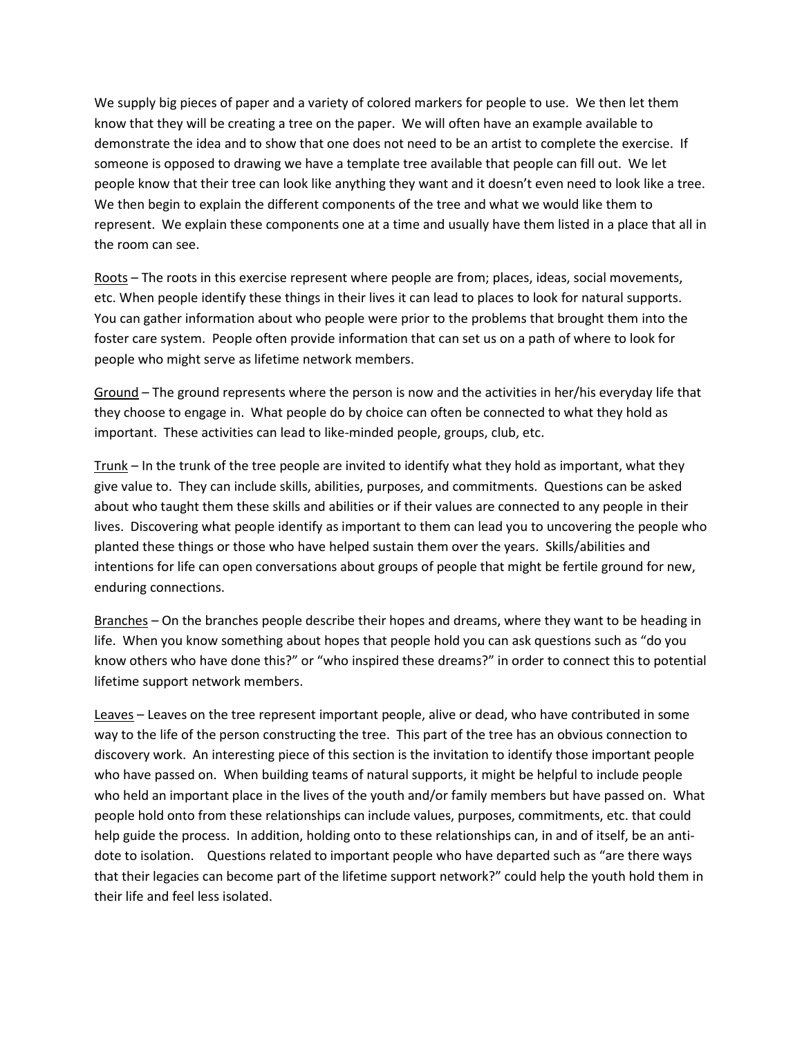We supply big pieces of paper and a variety of colored markers for people to use. We then let them know that they will be creating a tree on the paper. We will often have an example available to demonstrate the idea and to show that one does not need to be an artist to complete the exercise. If someone is opposed to drawing we have a template tree available that people can fill out. We let people know that their tree can look like anything they want and it doesn't even need to look like a tree. We then begin to explain the different components of the tree and what we would like them to represent. We explain these components one at a time and usually have them listed in a place that all in the room can see.

Roots – The roots in this exercise represent where people are from; places, ideas, social movements, etc. When people identify these things in their lives it can lead to places to look for natural supports. You can gather information about who people were prior to the problems that brought them into the foster care system. People often provide information that can set us on a path of where to look for people who might serve as lifetime network members.

Ground – The ground represents where the person is now and the activities in her/his everyday life that they choose to engage in. What people do by choice can often be connected to what they hold as important. These activities can lead to like-minded people, groups, club, etc.

Trunk – In the trunk of the tree people are invited to identify what they hold as important, what they give value to. They can include skills, abilities, purposes, and commitments. Questions can be asked about who taught them these skills and abilities or if their values are connected to any people in their lives. Discovering what people identify as important to them can lead you to uncovering the people who planted these things or those who have helped sustain them over the years. Skills/abilities and intentions for life can open conversations about groups of people that might be fertile ground for new, enduring connections.

Branches – On the branches people describe their hopes and dreams, where they want to be heading in life. When you know something about hopes that people hold you can ask questions such as "do you know others who have done this?" or "who inspired these dreams?" in order to connect this to potential lifetime support network members.

Leaves – Leaves on the tree represent important people, alive or dead, who have contributed in some way to the life of the person constructing the tree. This part of the tree has an obvious connection to discovery work. An interesting piece of this section is the invitation to identify those important people who have passed on. When building teams of natural supports, it might be helpful to include people who held an important place in the lives of the youth and/or family members but have passed on. What people hold onto from these relationships can include values, purposes, commitments, etc. that could help guide the process. In addition, holding onto to these relationships can, in and of itself, be an antidote to isolation. Questions related to important people who have departed such as "are there ways that their legacies can become part of the lifetime support network?" could help the youth hold them in their life and feel less isolated.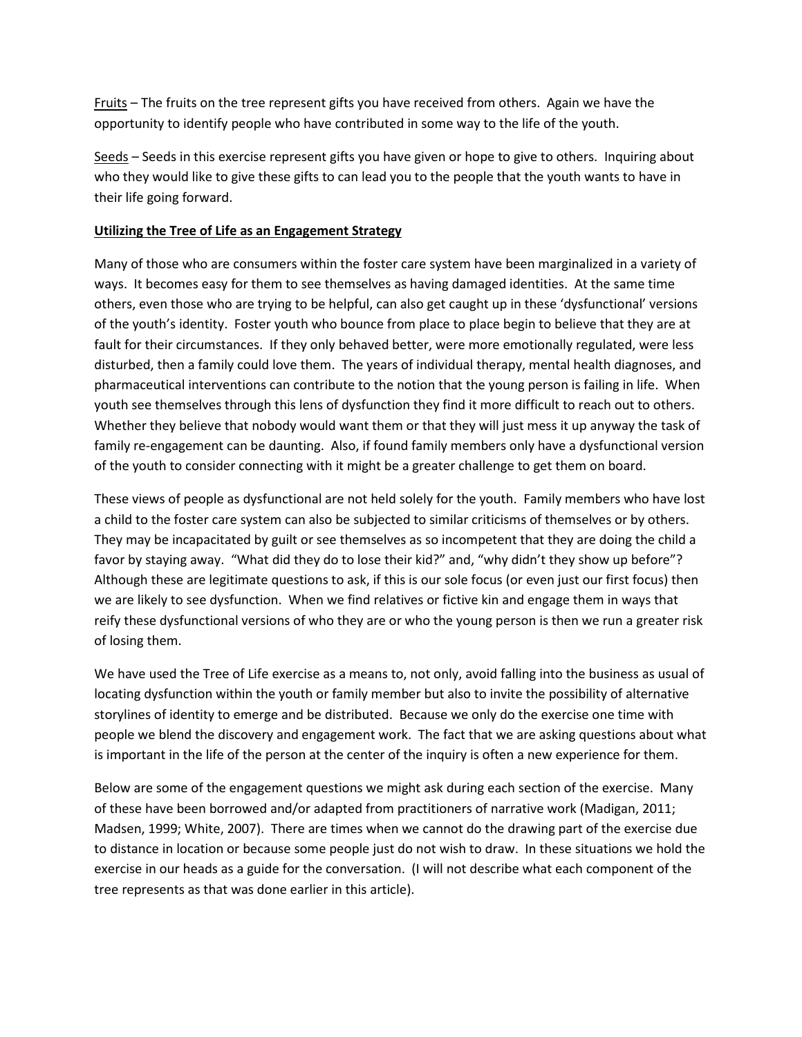Fruits – The fruits on the tree represent gifts you have received from others. Again we have the opportunity to identify people who have contributed in some way to the life of the youth.

Seeds – Seeds in this exercise represent gifts you have given or hope to give to others. Inquiring about who they would like to give these gifts to can lead you to the people that the youth wants to have in their life going forward.

### **Utilizing the Tree of Life as an Engagement Strategy**

Many of those who are consumers within the foster care system have been marginalized in a variety of ways. It becomes easy for them to see themselves as having damaged identities. At the same time others, even those who are trying to be helpful, can also get caught up in these 'dysfunctional' versions of the youth's identity. Foster youth who bounce from place to place begin to believe that they are at fault for their circumstances. If they only behaved better, were more emotionally regulated, were less disturbed, then a family could love them. The years of individual therapy, mental health diagnoses, and pharmaceutical interventions can contribute to the notion that the young person is failing in life. When youth see themselves through this lens of dysfunction they find it more difficult to reach out to others. Whether they believe that nobody would want them or that they will just mess it up anyway the task of family re-engagement can be daunting. Also, if found family members only have a dysfunctional version of the youth to consider connecting with it might be a greater challenge to get them on board.

These views of people as dysfunctional are not held solely for the youth. Family members who have lost a child to the foster care system can also be subjected to similar criticisms of themselves or by others. They may be incapacitated by guilt or see themselves as so incompetent that they are doing the child a favor by staying away. "What did they do to lose their kid?" and, "why didn't they show up before"? Although these are legitimate questions to ask, if this is our sole focus (or even just our first focus) then we are likely to see dysfunction. When we find relatives or fictive kin and engage them in ways that reify these dysfunctional versions of who they are or who the young person is then we run a greater risk of losing them.

We have used the Tree of Life exercise as a means to, not only, avoid falling into the business as usual of locating dysfunction within the youth or family member but also to invite the possibility of alternative storylines of identity to emerge and be distributed. Because we only do the exercise one time with people we blend the discovery and engagement work. The fact that we are asking questions about what is important in the life of the person at the center of the inquiry is often a new experience for them.

Below are some of the engagement questions we might ask during each section of the exercise. Many of these have been borrowed and/or adapted from practitioners of narrative work (Madigan, 2011; Madsen, 1999; White, 2007). There are times when we cannot do the drawing part of the exercise due to distance in location or because some people just do not wish to draw. In these situations we hold the exercise in our heads as a guide for the conversation. (I will not describe what each component of the tree represents as that was done earlier in this article).